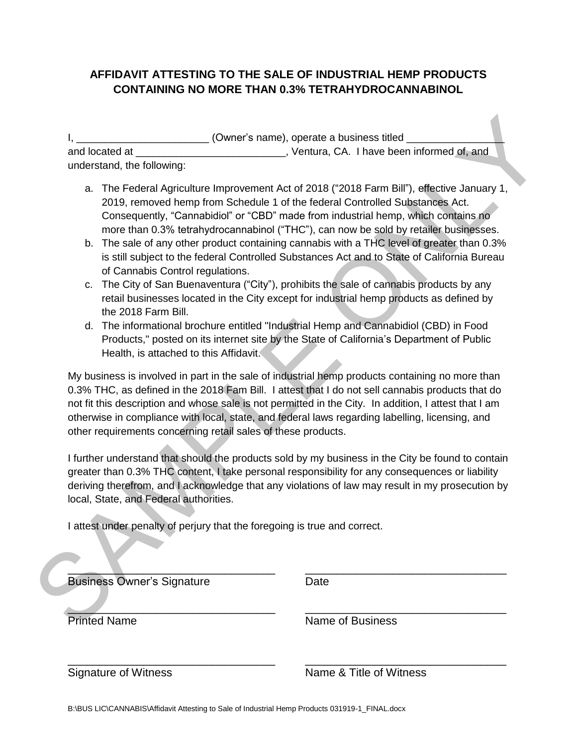### **AFFIDAVIT ATTESTING TO THE SALE OF INDUSTRIAL HEMP PRODUCTS CONTAINING NO MORE THAN 0.3% TETRAHYDROCANNABINOL**

I, \_\_\_\_\_\_\_\_\_\_\_\_\_\_\_\_\_\_\_\_\_\_\_\_\_\_\_\_\_\_(Owner's name), operate a business titled \_\_\_\_\_ and located at **All and Strutter and Strutter and Strutter** CA. I have been informed of, and understand, the following:

- a. The Federal Agriculture Improvement Act of 2018 ("2018 Farm Bill"), effective January 1, 2019, removed hemp from Schedule 1 of the federal Controlled Substances Act. Consequently, "Cannabidiol" or "CBD" made from industrial hemp, which contains no more than 0.3% tetrahydrocannabinol ("THC"), can now be sold by retailer businesses.
- b. The sale of any other product containing cannabis with a THC level of greater than 0.3% is still subject to the federal Controlled Substances Act and to State of California Bureau of Cannabis Control regulations.
- c. The City of San Buenaventura ("City"), prohibits the sale of cannabis products by any retail businesses located in the City except for industrial hemp products as defined by the 2018 Farm Bill.
- d. The informational brochure entitled "Industrial Hemp and Cannabidiol (CBD) in Food Products," posted on its internet site by the State of California's Department of Public Health, is attached to this Affidavit.

My business is involved in part in the sale of industrial hemp products containing no more than 0.3% THC, as defined in the 2018 Fam Bill. I attest that I do not sell cannabis products that do not fit this description and whose sale is not permitted in the City. In addition, I attest that I am otherwise in compliance with local, state, and federal laws regarding labelling, licensing, and other requirements concerning retail sales of these products. I. (Owner's name), operate a business titled<br>
and located at<br>
and tracteristic members of the following:<br>
2019, removed heny form is the fullowing:<br>
2019, removed heny form following the fullowing:<br>
2019, removed heny form

I further understand that should the products sold by my business in the City be found to contain greater than 0.3% THC content, I take personal responsibility for any consequences or liability deriving therefrom, and I acknowledge that any violations of law may result in my prosecution by local, State, and Federal authorities.

\_\_\_\_\_\_\_\_\_\_\_\_\_\_\_\_\_\_\_\_\_\_\_\_\_\_\_\_\_\_\_\_\_ \_\_\_\_\_\_\_\_\_\_\_\_\_\_\_\_\_\_\_\_\_\_\_\_\_\_\_\_\_\_\_\_

I attest under penalty of perjury that the foregoing is true and correct.

| <b>Business Owner's Signature</b> | Date |
|-----------------------------------|------|

 $\frac{1}{2}$  ,  $\frac{1}{2}$  ,  $\frac{1}{2}$  ,  $\frac{1}{2}$  ,  $\frac{1}{2}$  ,  $\frac{1}{2}$  ,  $\frac{1}{2}$  ,  $\frac{1}{2}$  ,  $\frac{1}{2}$  ,  $\frac{1}{2}$  ,  $\frac{1}{2}$  ,  $\frac{1}{2}$  ,  $\frac{1}{2}$  ,  $\frac{1}{2}$  ,  $\frac{1}{2}$  ,  $\frac{1}{2}$  ,  $\frac{1}{2}$  ,  $\frac{1}{2}$  ,  $\frac{1$ 

Printed Name Name Name of Business

Signature of Witness Name & Title of Witness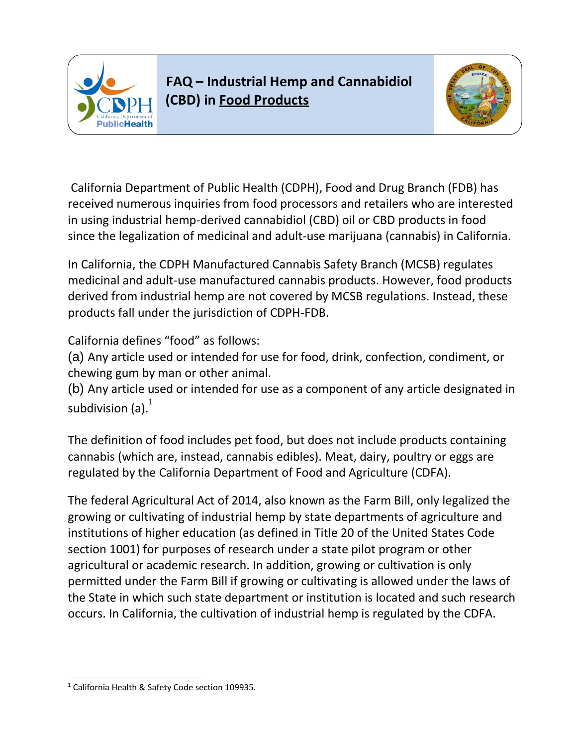

# **FAQ – Industrial Hemp and Cannabidiol (CBD) in Food Products**



California Department of Public Health (CDPH), Food and Drug Branch (FDB) has received numerous inquiries from food processors and retailers who are interested in using industrial hemp-derived cannabidiol (CBD) oil or CBD products in food since the legalization of medicinal and adult-use marijuana (cannabis) in California.

In California, the CDPH Manufactured Cannabis Safety Branch (MCSB) regulates medicinal and adult-use manufactured cannabis products. However, food products derived from industrial hemp are not covered by MCSB regulations. Instead, these products fall under the jurisdiction of CDPH-FDB.

California defines "food" as follows:

(a) Any article used or intended for use for food, drink, confection, condiment, or chewing gum by man or other animal.

(b) Any article used or intended for use as a component of any article designated in subdivision  $(a)$ .<sup>1</sup>

The definition of food includes pet food, but does not include products containing cannabis (which are, instead, cannabis edibles). Meat, dairy, poultry or eggs are regulated by the California Department of Food and Agriculture (CDFA).

The federal Agricultural Act of 2014, also known as the Farm Bill, only legalized the growing or cultivating of industrial hemp by state departments of agriculture and institutions of higher education (as defined in Title 20 of the United States Code section 1001) for purposes of research under a state pilot program or other agricultural or academic research. In addition, growing or cultivation is only permitted under the Farm Bill if growing or cultivating is allowed under the laws of the State in which such state department or institution is located and such research occurs. In California, the cultivation of industrial hemp is regulated by the CDFA.

l

<sup>&</sup>lt;sup>1</sup> California Health & Safety Code section 109935.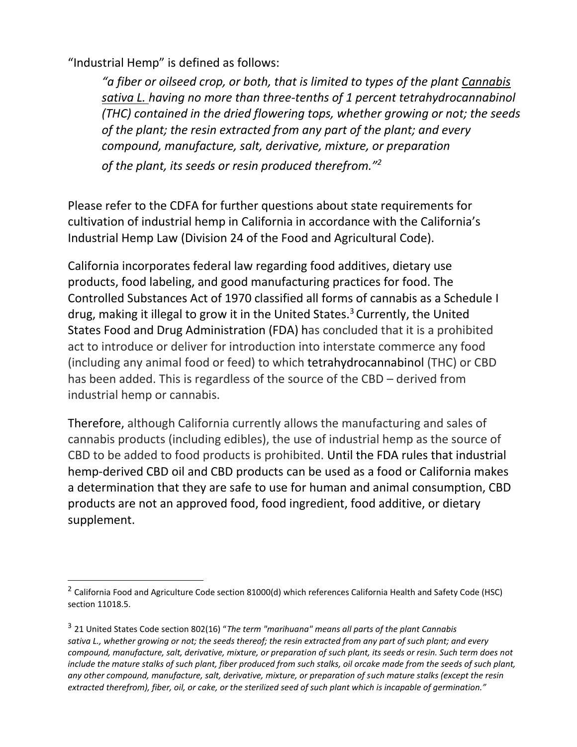"Industrial Hemp" is defined as follows:

l

"a fiber or oilseed crop, or both, that is limited to types of the plant **Cannabis** *sativa L. having no more than three-tenths of 1 percent tetrahydrocannabinol (THC) contained in the dried flowering tops, whether growing or not; the seeds of the plant; the resin extracted from any part of the plant; and every compound, manufacture, salt, derivative, mixture, or preparation of the plant, its seeds or resin produced therefrom."<sup>2</sup>*

Please refer to the CDFA for further questions about state requirements for cultivation of industrial hemp in California in accordance with the California's Industrial Hemp Law (Division 24 of the Food and Agricultural Code).

California incorporates federal law regarding food additives, dietary use products, food labeling, and good manufacturing practices for food. The Controlled Substances Act of 1970 classified all forms of cannabis as a Schedule I drug, making it illegal to grow it in the United States.<sup>3</sup> Currently, the United States Food and Drug Administration (FDA) has concluded that it is a prohibited act to introduce or deliver for introduction into interstate commerce any food (including any animal food or feed) to which tetrahydrocannabinol (THC) or CBD has been added. This is regardless of the source of the CBD – derived from industrial hemp or cannabis.

Therefore, although California currently allows the manufacturing and sales of cannabis products (including edibles), the use of industrial hemp as the source of CBD to be added to food products is prohibited. Until the FDA rules that industrial hemp-derived CBD oil and CBD products can be used as a food or California makes a determination that they are safe to use for human and animal consumption, CBD products are not an approved food, food ingredient, food additive, or dietary supplement.

<sup>&</sup>lt;sup>2</sup> California Food and Agriculture Code section 81000(d) which references California Health and Safety Code (HSC) section 11018.5.

<sup>3</sup> 21 United States Code section 802(16) "*The term "marihuana" means all parts of the plant Cannabis sativa L., whether growing or not; the seeds thereof; the resin extracted from any part of such plant; and every compound, manufacture, salt, derivative, mixture, or preparation of such plant, its seeds or resin. Such term does not include the mature stalks of such plant, fiber produced from such stalks, oil orcake made from the seeds of such plant, any other compound, manufacture, salt, derivative, mixture, or preparation of such mature stalks (except the resin extracted therefrom), fiber, oil, or cake, or the sterilized seed of such plant which is incapable of germination."*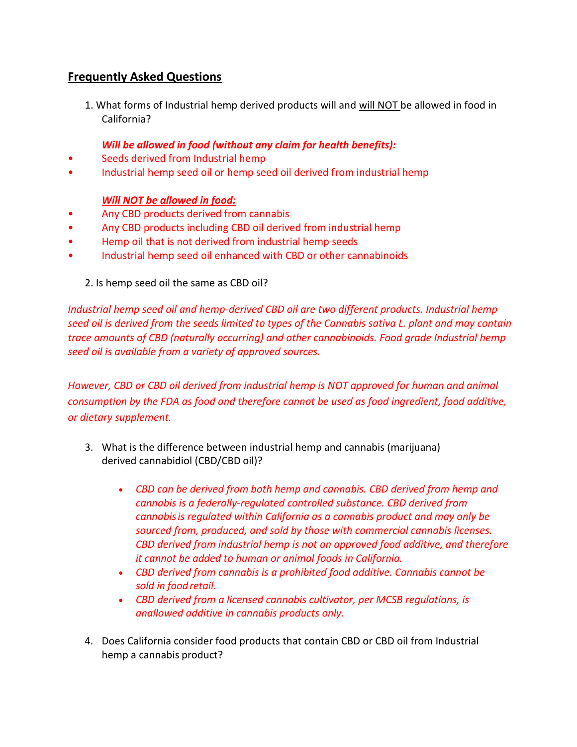## **Frequently Asked Questions**

1. What forms of Industrial hemp derived products will and will NOT be allowed in food in California?

#### *Will be allowed in food (without any claim for health benefits):*

- Seeds derived from Industrial hemp
- Industrial hemp seed oil or hemp seed oil derived from industrial hemp

#### *Will NOT be allowed in food:*

- Any CBD products derived from cannabis
- Any CBD products including CBD oil derived from industrial hemp
- Hemp oil that is not derived from industrial hemp seeds
- Industrial hemp seed oil enhanced with CBD or other cannabinoids

#### 2. Is hemp seed oil the same as CBD oil?

*Industrial hemp seed oil and hemp-derived CBD oil are two different products. Industrial hemp seed oil is derived from the seeds limited to types of the Cannabis sativa L. plant and may contain trace amounts of CBD (naturally occurring) and other cannabinoids. Food grade Industrial hemp seed oil is available from a variety of approved sources.*

*However, CBD or CBD oil derived from industrial hemp is NOT approved for human and animal consumption by the FDA as food and therefore cannot be used as food ingredient, food additive, or dietary supplement.*

- 3. What is the difference between industrial hemp and cannabis (marijuana) derived cannabidiol (CBD/CBD oil)?
	- *CBD can be derived from both hemp and cannabis. CBD derived from hemp and cannabis is a federally-regulated controlled substance. CBD derived from cannabisis regulated within California as a cannabis product and may only be sourced from, produced, and sold by those with commercial cannabis licenses. CBD derived from industrial hemp is not an approved food additive, and therefore it cannot be added to human or animal foods in California.*
	- *CBD derived from cannabis is a prohibited food additive. Cannabis cannot be sold in foodretail.*
	- *CBD derived from a licensed cannabis cultivator, per MCSB regulations, is anallowed additive in cannabis products only.*
- 4. Does California consider food products that contain CBD or CBD oil from Industrial hemp a cannabis product?